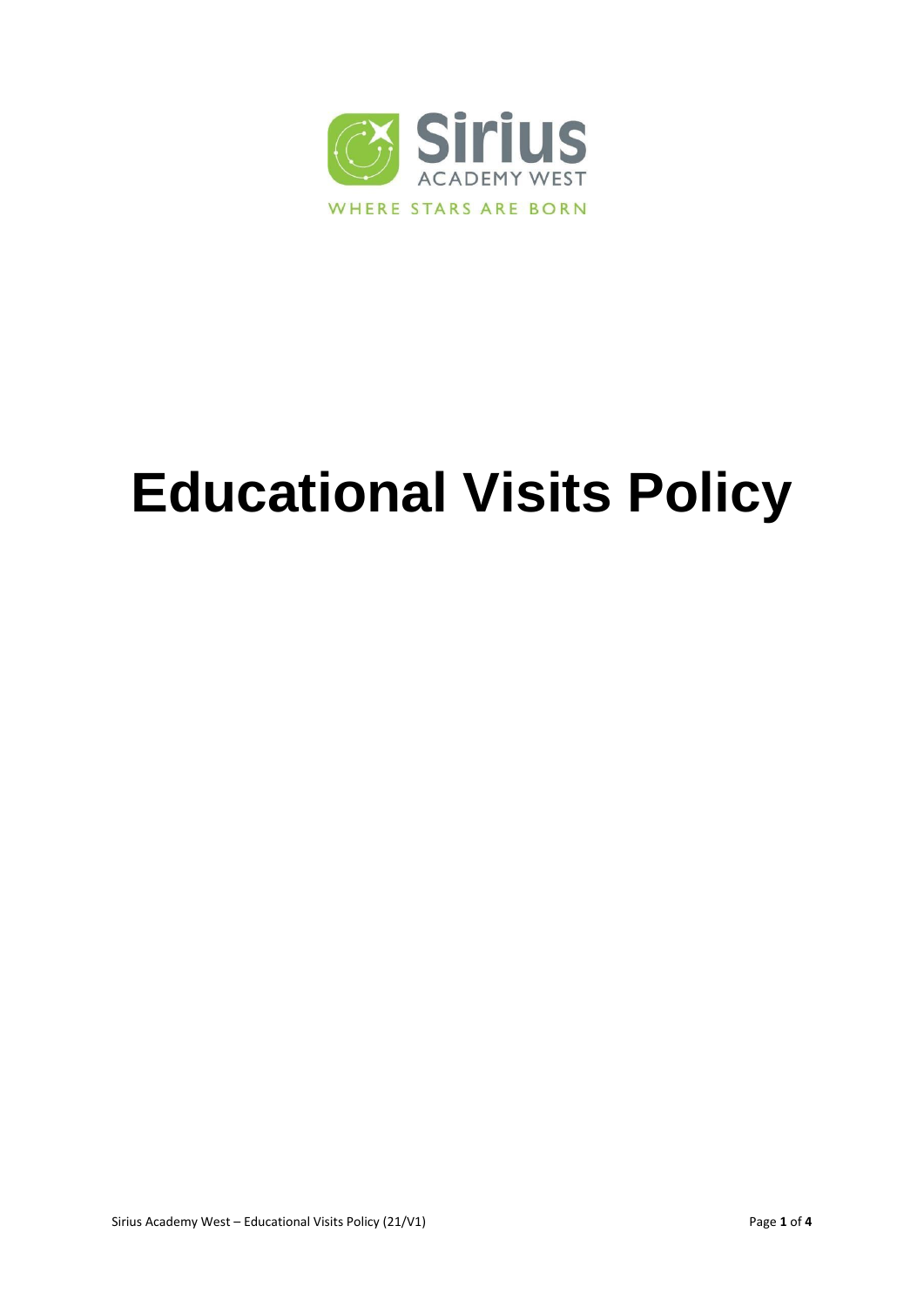

# **Educational Visits Policy**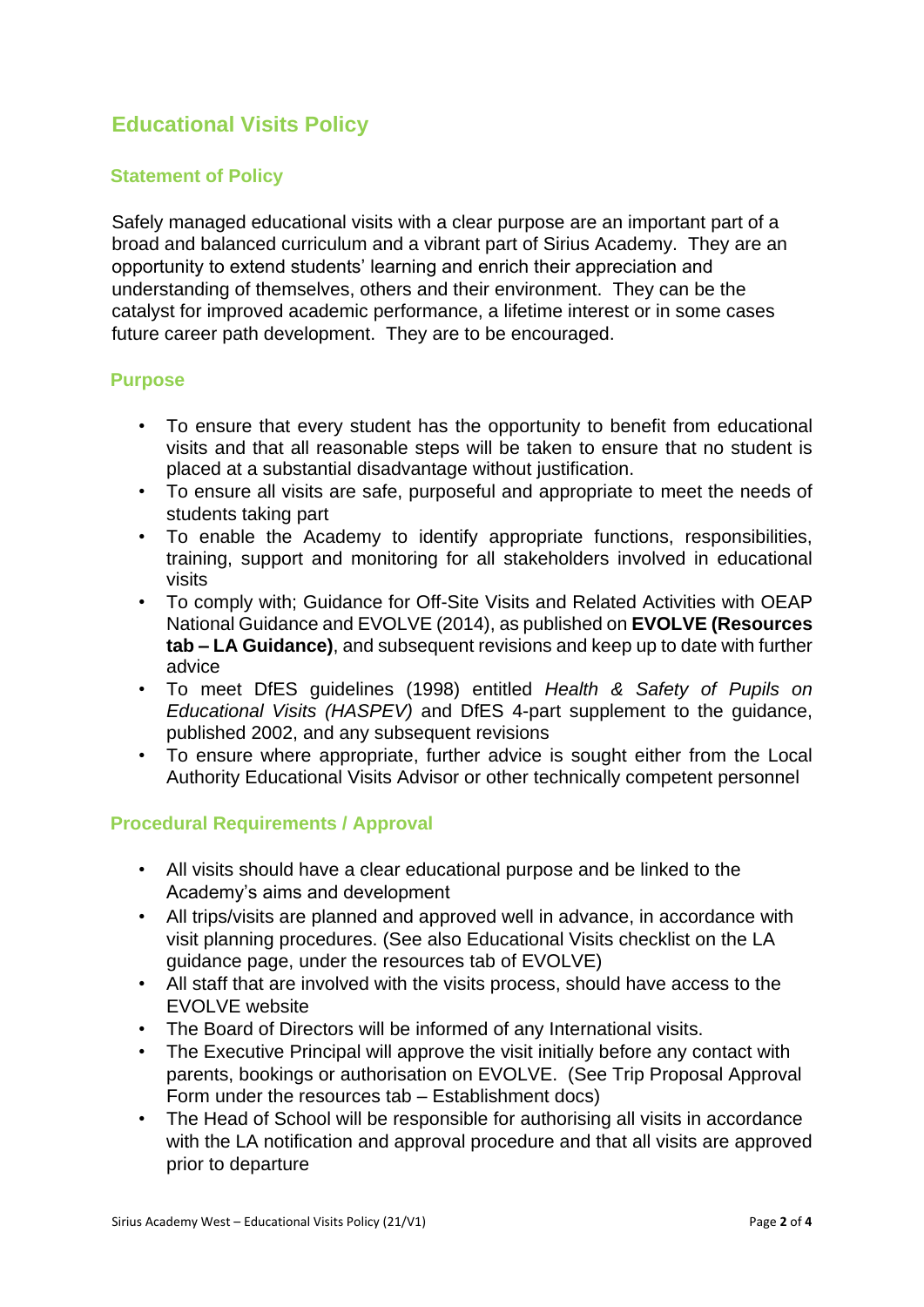## **Educational Visits Policy**

### **Statement of Policy**

Safely managed educational visits with a clear purpose are an important part of a broad and balanced curriculum and a vibrant part of Sirius Academy. They are an opportunity to extend students' learning and enrich their appreciation and understanding of themselves, others and their environment. They can be the catalyst for improved academic performance, a lifetime interest or in some cases future career path development. They are to be encouraged.

#### **Purpose**

- To ensure that every student has the opportunity to benefit from educational visits and that all reasonable steps will be taken to ensure that no student is placed at a substantial disadvantage without justification.
- To ensure all visits are safe, purposeful and appropriate to meet the needs of students taking part
- To enable the Academy to identify appropriate functions, responsibilities, training, support and monitoring for all stakeholders involved in educational visits
- To comply with; Guidance for Off-Site Visits and Related Activities with OEAP National Guidance and EVOLVE (2014), as published on **EVOLVE (Resources tab – LA Guidance)**, and subsequent revisions and keep up to date with further advice
- To meet DfES guidelines (1998) entitled *Health & Safety of Pupils on Educational Visits (HASPEV)* and DfES 4-part supplement to the guidance, published 2002, and any subsequent revisions
- To ensure where appropriate, further advice is sought either from the Local Authority Educational Visits Advisor or other technically competent personnel

#### **Procedural Requirements / Approval**

- All visits should have a clear educational purpose and be linked to the Academy's aims and development
- All trips/visits are planned and approved well in advance, in accordance with visit planning procedures. (See also Educational Visits checklist on the LA guidance page, under the resources tab of EVOLVE)
- All staff that are involved with the visits process, should have access to the EVOLVE website
- The Board of Directors will be informed of any International visits.
- The Executive Principal will approve the visit initially before any contact with parents, bookings or authorisation on EVOLVE. (See Trip Proposal Approval Form under the resources tab – Establishment docs)
- The Head of School will be responsible for authorising all visits in accordance with the LA notification and approval procedure and that all visits are approved prior to departure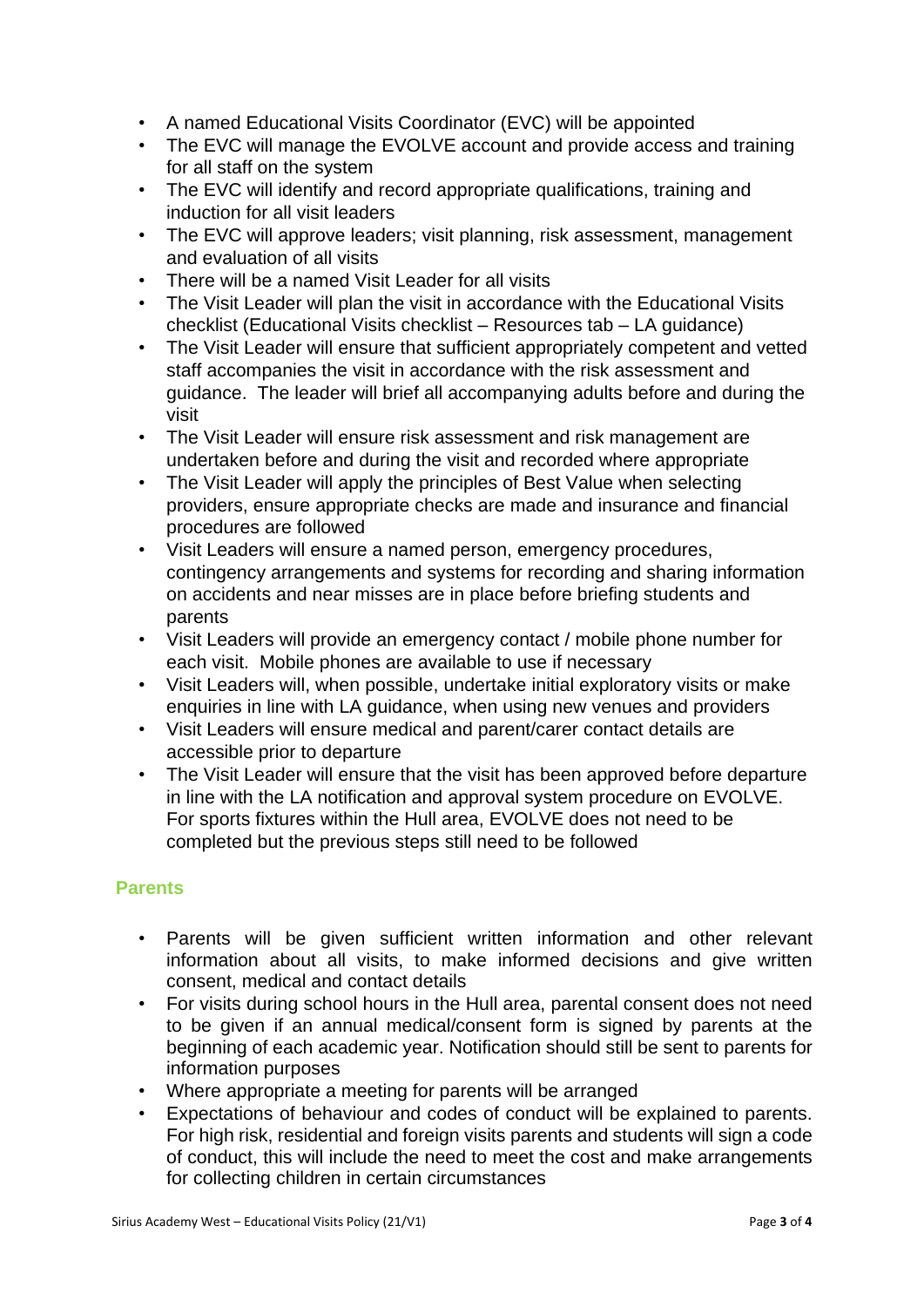- A named Educational Visits Coordinator (EVC) will be appointed
- The EVC will manage the EVOLVE account and provide access and training for all staff on the system
- The EVC will identify and record appropriate qualifications, training and induction for all visit leaders
- The EVC will approve leaders; visit planning, risk assessment, management and evaluation of all visits
- There will be a named Visit Leader for all visits
- The Visit Leader will plan the visit in accordance with the Educational Visits checklist (Educational Visits checklist – Resources tab – LA guidance)
- The Visit Leader will ensure that sufficient appropriately competent and vetted staff accompanies the visit in accordance with the risk assessment and guidance. The leader will brief all accompanying adults before and during the visit
- The Visit Leader will ensure risk assessment and risk management are undertaken before and during the visit and recorded where appropriate
- The Visit Leader will apply the principles of Best Value when selecting providers, ensure appropriate checks are made and insurance and financial procedures are followed
- Visit Leaders will ensure a named person, emergency procedures, contingency arrangements and systems for recording and sharing information on accidents and near misses are in place before briefing students and parents
- Visit Leaders will provide an emergency contact / mobile phone number for each visit. Mobile phones are available to use if necessary
- Visit Leaders will, when possible, undertake initial exploratory visits or make enquiries in line with LA guidance, when using new venues and providers
- Visit Leaders will ensure medical and parent/carer contact details are accessible prior to departure
- The Visit Leader will ensure that the visit has been approved before departure in line with the LA notification and approval system procedure on EVOLVE. For sports fixtures within the Hull area, EVOLVE does not need to be completed but the previous steps still need to be followed

#### **Parents**

- Parents will be given sufficient written information and other relevant information about all visits, to make informed decisions and give written consent, medical and contact details
- For visits during school hours in the Hull area, parental consent does not need to be given if an annual medical/consent form is signed by parents at the beginning of each academic year. Notification should still be sent to parents for information purposes
- Where appropriate a meeting for parents will be arranged
- Expectations of behaviour and codes of conduct will be explained to parents. For high risk, residential and foreign visits parents and students will sign a code of conduct, this will include the need to meet the cost and make arrangements for collecting children in certain circumstances